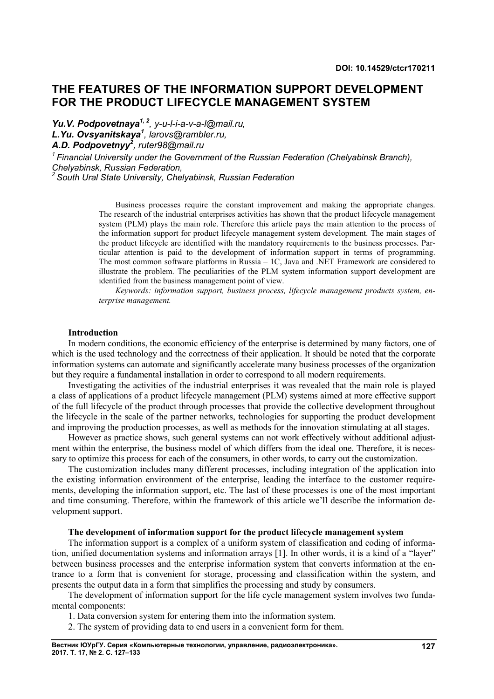# **THE FEATURES OF THE INFORMATION SUPPORT DEVELOPMENT FOR THE PRODUCT LIFECYCLE MANAGEMENT SYSTEM**

*Yu.V. Podpovetnaya1, 2, y-u-l-i-a-v-a-l@mail.ru, L.Yu. Ovsyanitskaya<sup>1</sup> , larovs@rambler.ru, A.D. Podpovetnyy<sup>2</sup> , ruter98@mail.ru*

*<sup>1</sup>Financial University under the Government of the Russian Federation (Chelyabinsk Branch), Chelyabinsk, Russian Federation,*

*<sup>2</sup>South Ural State University, Chelyabinsk, Russian Federation*

Business processes require the constant improvement and making the appropriate changes. The research of the industrial enterprises activities has shown that the product lifecycle management system (PLM) plays the main role. Therefore this article pays the main attention to the process of the information support for product lifecycle management system development. The main stages of the product lifecycle are identified with the mandatory requirements to the business processes. Particular attention is paid to the development of information support in terms of programming. The most common software platforms in Russia – 1C, Java and .NET Framework are considered to illustrate the problem. The peculiarities of the PLM system information support development are identified from the business management point of view.

*Keywords: information support, business process, lifecycle management products system, enterprise management.*

### **Introduction**

In modern conditions, the economic efficiency of the enterprise is determined by many factors, one of which is the used technology and the correctness of their application. It should be noted that the corporate information systems can automate and significantly accelerate many business processes of the organization but they require a fundamental installation in order to correspond to all modern requirements.

Investigating the activities of the industrial enterprises it was revealed that the main role is played a class of applications of a product lifecycle management (PLM) systems aimed at more effective support of the full lifecycle of the product through processes that provide the collective development throughout the lifecycle in the scale of the partner networks, technologies for supporting the product development and improving the production processes, as well as methods for the innovation stimulating at all stages.

However as practice shows, such general systems can not work effectively without additional adjustment within the enterprise, the business model of which differs from the ideal one. Therefore, it is necessary to optimize this process for each of the consumers, in other words, to carry out the customization.

The customization includes many different processes, including integration of the application into the existing information environment of the enterprise, leading the interface to the customer requirements, developing the information support, etc. The last of these processes is one of the most important and time consuming. Therefore, within the framework of this article we'll describe the information development support.

#### **The development of information support for the product lifecycle management system**

The information support is a complex of a uniform system of classification and coding of information, unified documentation systems and information arrays [1]. In other words, it is a kind of a "layer" between business processes and the enterprise information system that converts information at the entrance to a form that is convenient for storage, processing and classification within the system, and presents the output data in a form that simplifies the processing and study by consumers.

The development of information support for the life cycle management system involves two fundamental components:

1. Data conversion system for entering them into the information system.

2. The system of providing data to end users in a convenient form for them.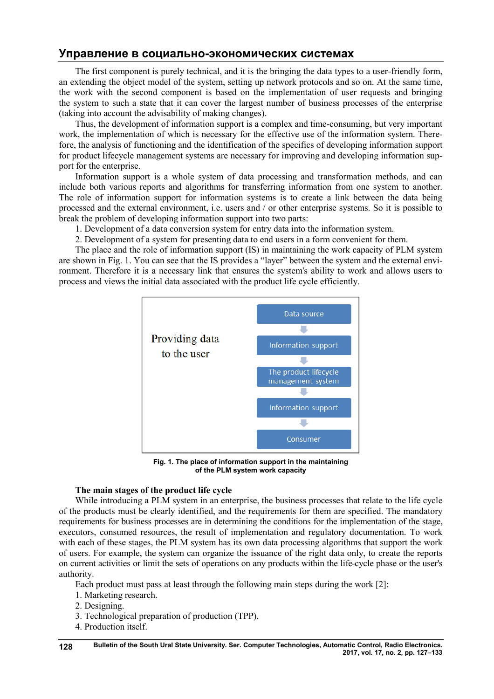# **Управление в социально-экономических системах**

The first component is purely technical, and it is the bringing the data types to a user-friendly form, an extending the object model of the system, setting up network protocols and so on. At the same time, the work with the second component is based on the implementation of user requests and bringing the system to such a state that it can cover the largest number of business processes of the enterprise (taking into account the advisability of making changes).

Thus, the development of information support is a complex and time-consuming, but very important work, the implementation of which is necessary for the effective use of the information system. Therefore, the analysis of functioning and the identification of the specifics of developing information support for product lifecycle management systems are necessary for improving and developing information support for the enterprise.

Information support is a whole system of data processing and transformation methods, and can include both various reports and algorithms for transferring information from one system to another. The role of information support for information systems is to create a link between the data being processed and the external environment, i.e. users and / or other enterprise systems. So it is possible to break the problem of developing information support into two parts:

1. Development of a data conversion system for entry data into the information system.

2. Development of a system for presenting data to end users in a form convenient for them.

The place and the role of information support (IS) in maintaining the work capacity of PLM system are shown in Fig. 1. You can see that the IS provides a "layer" between the system and the external environment. Therefore it is a necessary link that ensures the system's ability to work and allows users to process and views the initial data associated with the product life cycle efficiently.



**Fig. 1. The place of information support in the maintaining of the PLM system work capacity**

## **The main stages of the product life cycle**

While introducing a PLM system in an enterprise, the business processes that relate to the life cycle of the products must be clearly identified, and the requirements for them are specified. The mandatory requirements for business processes are in determining the conditions for the implementation of the stage, executors, consumed resources, the result of implementation and regulatory documentation. To work with each of these stages, the PLM system has its own data processing algorithms that support the work of users. For example, the system can organize the issuance of the right data only, to create the reports on current activities or limit the sets of operations on any products within the life-cycle phase or the user's authority.

Each product must pass at least through the following main steps during the work [2]:

- 1. Marketing research.
- 2. Designing.
- 3. Technological preparation of production (TPP).
- 4. Production itself.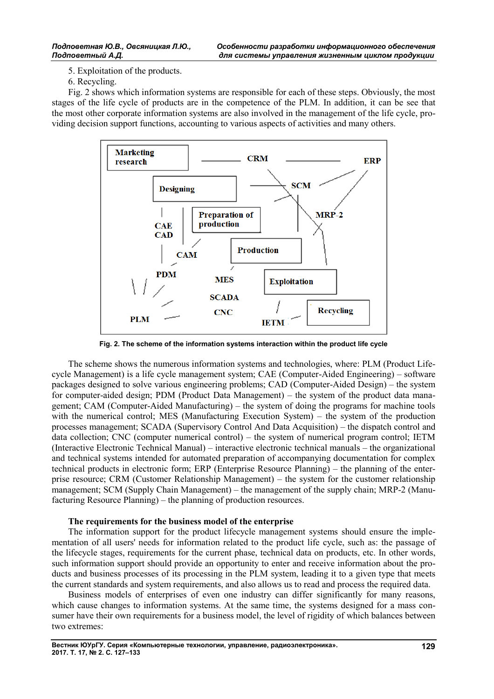5. Exploitation of the products.

6. Recycling.

Fig. 2 shows which information systems are responsible for each of these steps. Obviously, the most stages of the life cycle of products are in the competence of the PLM. In addition, it can be see that the most other corporate information systems are also involved in the management of the life cycle, providing decision support functions, accounting to various aspects of activities and many others.



**Fig. 2. The scheme of the information systems interaction within the product life cycle**

The scheme shows the numerous information systems and technologies, where: PLM (Product Lifecycle Management) is a life cycle management system; CAE (Computer-Aided Engineering) – software packages designed to solve various engineering problems; CAD (Computer-Aided Design) – the system for computer-aided design; PDM (Product Data Management) – the system of the product data management; CAM (Computer-Aided Manufacturing) – the system of doing the programs for machine tools with the numerical control; MES (Manufacturing Execution System) – the system of the production processes management; SCADA (Supervisory Control And Data Acquisition) – the dispatch control and data collection; CNC (computer numerical control) – the system of numerical program control; IETM (Interactive Electronic Technical Manual) – interactive electronic technical manuals – the organizational and technical systems intended for automated preparation of accompanying documentation for complex technical products in electronic form; ERP (Enterprise Resource Planning) – the planning of the enterprise resource; CRM (Customer Relationship Management) – the system for the customer relationship management; SCM (Supply Chain Management) – the management of the supply chain; MRP-2 (Manufacturing Resource Planning) – the planning of production resources.

## **The requirements for the business model of the enterprise**

The information support for the product lifecycle management systems should ensure the implementation of all users' needs for information related to the product life cycle, such as: the passage of the lifecycle stages, requirements for the current phase, technical data on products, etc. In other words, such information support should provide an opportunity to enter and receive information about the products and business processes of its processing in the PLM system, leading it to a given type that meets the current standards and system requirements, and also allows us to read and process the required data.

Business models of enterprises of even one industry can differ significantly for many reasons, which cause changes to information systems. At the same time, the systems designed for a mass consumer have their own requirements for a business model, the level of rigidity of which balances between two extremes: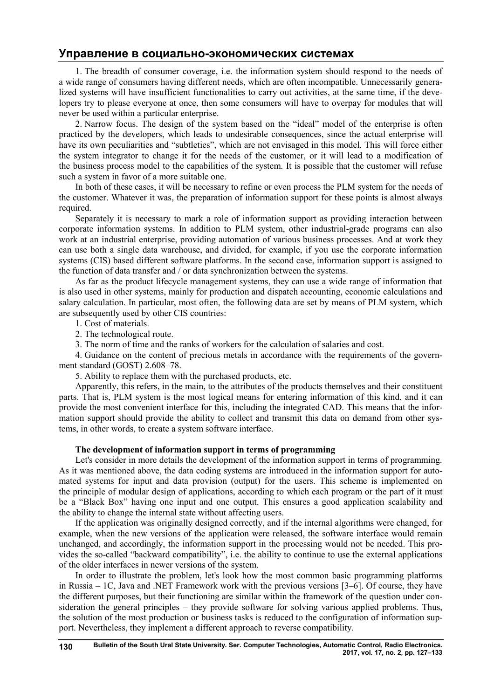# **Управление в социально-экономических системах**

1. The breadth of consumer coverage, i.e. the information system should respond to the needs of a wide range of consumers having different needs, which are often incompatible. Unnecessarily generalized systems will have insufficient functionalities to carry out activities, at the same time, if the developers try to please everyone at once, then some consumers will have to overpay for modules that will never be used within a particular enterprise.

2. Narrow focus. The design of the system based on the "ideal" model of the enterprise is often practiced by the developers, which leads to undesirable consequences, since the actual enterprise will have its own peculiarities and "subtleties", which are not envisaged in this model. This will force either the system integrator to change it for the needs of the customer, or it will lead to a modification of the business process model to the capabilities of the system. It is possible that the customer will refuse such a system in favor of a more suitable one.

In both of these cases, it will be necessary to refine or even process the PLM system for the needs of the customer. Whatever it was, the preparation of information support for these points is almost always required.

Separately it is necessary to mark a role of information support as providing interaction between corporate information systems. In addition to PLM system, other industrial-grade programs can also work at an industrial enterprise, providing automation of various business processes. And at work they can use both a single data warehouse, and divided, for example, if you use the corporate information systems (CIS) based different software platforms. In the second case, information support is assigned to the function of data transfer and / or data synchronization between the systems.

As far as the product lifecycle management systems, they can use a wide range of information that is also used in other systems, mainly for production and dispatch accounting, economic calculations and salary calculation. In particular, most often, the following data are set by means of PLM system, which are subsequently used by other CIS countries:

1. Cost of materials.

2. The technological route.

3. The norm of time and the ranks of workers for the calculation of salaries and cost.

4. Guidance on the content of precious metals in accordance with the requirements of the government standard (GOST) 2.608–78.

5. Ability to replace them with the purchased products, etc.

Apparently, this refers, in the main, to the attributes of the products themselves and their constituent parts. That is, PLM system is the most logical means for entering information of this kind, and it can provide the most convenient interface for this, including the integrated CAD. This means that the information support should provide the ability to collect and transmit this data on demand from other systems, in other words, to create a system software interface.

## **The development of information support in terms of programming**

Let's consider in more details the development of the information support in terms of programming. As it was mentioned above, the data coding systems are introduced in the information support for automated systems for input and data provision (output) for the users. This scheme is implemented on the principle of modular design of applications, according to which each program or the part of it must be a "Black Box" having one input and one output. This ensures a good application scalability and the ability to change the internal state without affecting users.

If the application was originally designed correctly, and if the internal algorithms were changed, for example, when the new versions of the application were released, the software interface would remain unchanged, and accordingly, the information support in the processing would not be needed. This provides the so-called "backward compatibility", i.e. the ability to continue to use the external applications of the older interfaces in newer versions of the system.

In order to illustrate the problem, let's look how the most common basic programming platforms in Russia – 1C, Java and .NET Framework work with the previous versions [3–6]. Of course, they have the different purposes, but their functioning are similar within the framework of the question under consideration the general principles – they provide software for solving various applied problems. Thus, the solution of the most production or business tasks is reduced to the configuration of information support. Nevertheless, they implement a different approach to reverse compatibility.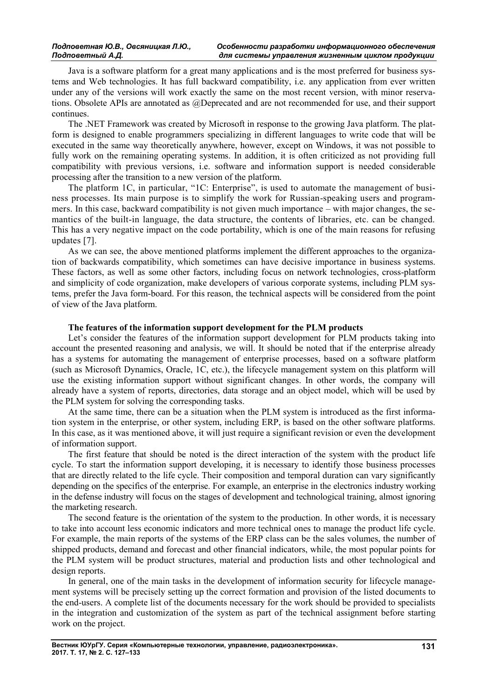Java is a software platform for a great many applications and is the most preferred for business systems and Web technologies. It has full backward compatibility, i.e. any application from ever written under any of the versions will work exactly the same on the most recent version, with minor reservations. Obsolete APIs are annotated as @Deprecated and are not recommended for use, and their support continues.

The .NET Framework was created by Microsoft in response to the growing Java platform. The platform is designed to enable programmers specializing in different languages to write code that will be executed in the same way theoretically anywhere, however, except on Windows, it was not possible to fully work on the remaining operating systems. In addition, it is often criticized as not providing full compatibility with previous versions, i.e. software and information support is needed considerable processing after the transition to a new version of the platform.

The platform 1C, in particular, "1C: Enterprise", is used to automate the management of business processes. Its main purpose is to simplify the work for Russian-speaking users and programmers. In this case, backward compatibility is not given much importance – with major changes, the semantics of the built-in language, the data structure, the contents of libraries, etc. can be changed. This has a very negative impact on the code portability, which is one of the main reasons for refusing updates [7].

As we can see, the above mentioned platforms implement the different approaches to the organization of backwards compatibility, which sometimes can have decisive importance in business systems. These factors, as well as some other factors, including focus on network technologies, cross-platform and simplicity of code organization, make developers of various corporate systems, including PLM systems, prefer the Java form-board. For this reason, the technical aspects will be considered from the point of view of the Java platform.

### **The features of the information support development for the PLM products**

Let's consider the features of the information support development for PLM products taking into account the presented reasoning and analysis, we will. It should be noted that if the enterprise already has a systems for automating the management of enterprise processes, based on a software platform (such as Microsoft Dynamics, Oracle, 1C, etc.), the lifecycle management system on this platform will use the existing information support without significant changes. In other words, the company will already have a system of reports, directories, data storage and an object model, which will be used by the PLM system for solving the corresponding tasks.

At the same time, there can be a situation when the PLM system is introduced as the first information system in the enterprise, or other system, including ERP, is based on the other software platforms. In this case, as it was mentioned above, it will just require a significant revision or even the development of information support.

The first feature that should be noted is the direct interaction of the system with the product life cycle. To start the information support developing, it is necessary to identify those business processes that are directly related to the life cycle. Their composition and temporal duration can vary significantly depending on the specifics of the enterprise. For example, an enterprise in the electronics industry working in the defense industry will focus on the stages of development and technological training, almost ignoring the marketing research.

The second feature is the orientation of the system to the production. In other words, it is necessary to take into account less economic indicators and more technical ones to manage the product life cycle. For example, the main reports of the systems of the ERP class can be the sales volumes, the number of shipped products, demand and forecast and other financial indicators, while, the most popular points for the PLM system will be product structures, material and production lists and other technological and design reports.

In general, one of the main tasks in the development of information security for lifecycle management systems will be precisely setting up the correct formation and provision of the listed documents to the end-users. A complete list of the documents necessary for the work should be provided to specialists in the integration and customization of the system as part of the technical assignment before starting work on the project.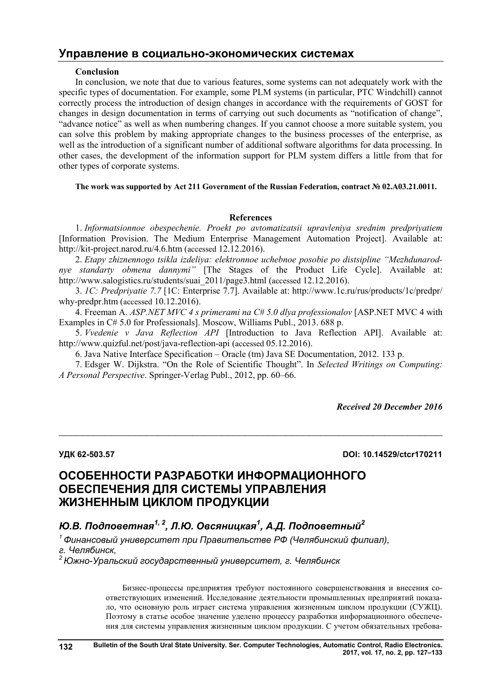# **Управление в социально-экономических системах**

## **Conclusion**

In conclusion, we note that due to various features, some systems can not adequately work with the specific types of documentation. For example, some PLM systems (in particular, PTC Windchill) cannot correctly process the introduction of design changes in accordance with the requirements of GOST for changes in design documentation in terms of carrying out such documents as "notification of change", "advance notice" as well as when numbering changes. If you cannot choose a more suitable system, you can solve this problem by making appropriate changes to the business processes of the enterprise, as well as the introduction of a significant number of additional software algorithms for data processing. In other cases, the development of the information support for PLM system differs a little from that for other types of corporate systems.

## **The work was supported by Act 211 Government of the Russian Federation, contract № 02.A03.21.0011.**

## **References**

1. *Informatsionnoe obespechenie. Proekt po avtomatizatsii upravleniya srednim predpriyatiem* [Information Provision. The Medium Enterprise Management Automation Project]. Available at: http://kit-project.narod.ru/4.6.htm (accessed 12.12.2016).

2. *Etapy zhiznennogo tsikla izdeliya: elektronnoe uchebnoe posobie po distsipline "Mezhdunarodnye standarty obmena dannymi"* [The Stages of the Product Life Cycle]. Available at: http://www.salogistics.ru/students/suai\_2011/page3.html (accessed 12.12.2016).

3. *1C: Predpriyatie 7.7* [1C: Enterprise 7.7]. Available at: http://www.1c.ru/rus/products/1c/predpr/ why-predpr.htm (accessed 10.12.2016).

4. Freeman A. *ASP.NET MVC 4 s primerami na C# 5.0 dlya professionalov* [ASP.NET MVC 4 with Examples in C# 5.0 for Professionals]. Moscow, Williams Publ., 2013. 688 p.

5. *Vvedenie v Java Reflection API* [Introduction to Java Reflection API]. Available at: http://www.quizful.net/post/java-reflection-api (accessed 05.12.2016).

6. Java Native Interface Specification – Oracle (tm) Java SE Documentation, 2012. 133 p.

7. Edsger W. Dijkstra. "On the Role of Scientific Thought". In *Selected Writings on Computing: A Personal Perspective*. Springer-Verlag Publ., 2012, pp. 60–66.

 $\mathcal{L}_\text{max}$  , and the contribution of the contribution of the contribution of the contribution of the contribution of the contribution of the contribution of the contribution of the contribution of the contribution of t

*Received 20 December 2016*

**УДК 62-503.57 DOI: 10.14529/ctcr170211**

# **ОСОБЕННОСТИ РАЗРАБОТКИ ИНФОРМАЦИОННОГО ОБЕСПЕЧЕНИЯ ДЛЯ СИСТЕМЫ УПРАВЛЕНИЯ ЖИЗНЕННЫМ ЦИКЛОМ ПРОДУКЦИИ**

# *Ю.В. Подповетная1, <sup>2</sup> , Л.Ю. Овсяницкая<sup>1</sup> , А.Д. Подповетный<sup>2</sup>*

*<sup>1</sup>Финансовый университет при Правительстве РФ (Челябинский филиал), г. Челябинск,*

*<sup>2</sup>Южно-Уральский государственный университет, г. Челябинск*

Бизнес-процессы предприятия требуют постоянного совершенствования и внесения соответствующих изменений. Исследование деятельности промышленных предприятий показало, что основную роль играет система управления жизненным циклом продукции (СУЖЦ). Поэтому в статье особое значение уделено процессу разработки информационного обеспечения для системы управления жизненным циклом продукции. С учетом обязательных требова